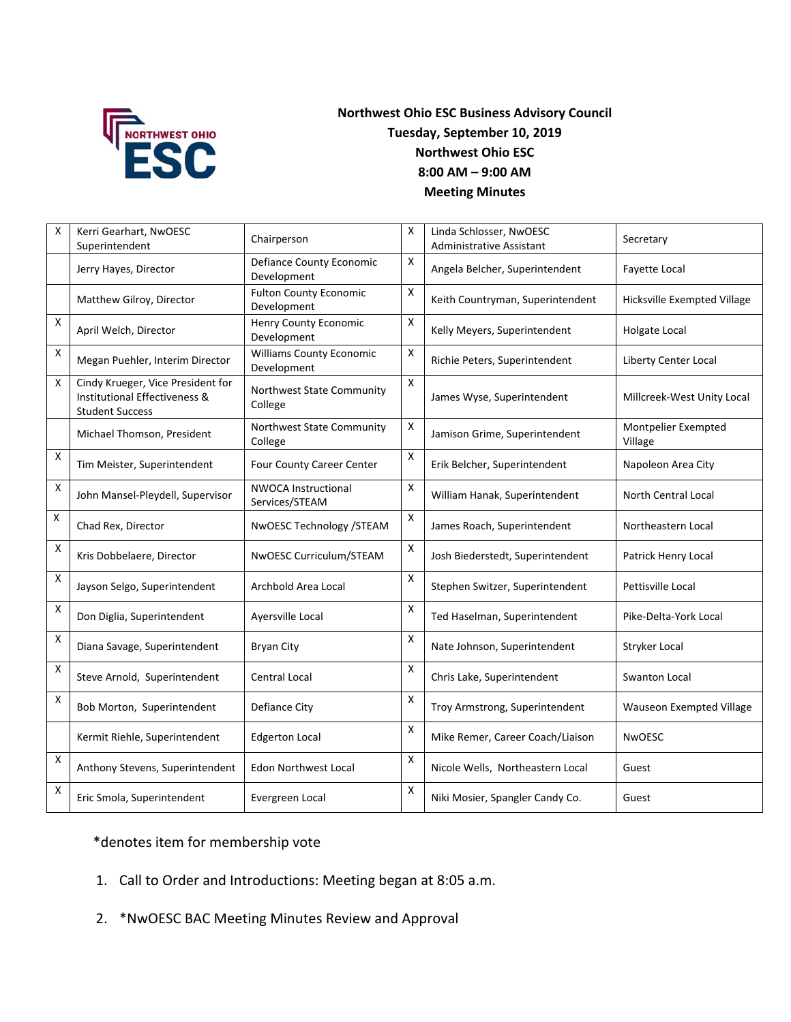

## **Northwest Ohio ESC Business Advisory Council Tuesday, September 10, 2019 Northwest Ohio ESC 8:00 AM – 9:00 AM Meeting Minutes**

| X                         | Kerri Gearhart, NwOESC<br>Superintendent                                                     | Chairperson                                    | X                  | Linda Schlosser, NwOESC<br><b>Administrative Assistant</b> | Secretary                      |
|---------------------------|----------------------------------------------------------------------------------------------|------------------------------------------------|--------------------|------------------------------------------------------------|--------------------------------|
|                           | Jerry Hayes, Director                                                                        | Defiance County Economic<br>Development        | X                  | Angela Belcher, Superintendent                             | Fayette Local                  |
|                           | Matthew Gilroy, Director                                                                     | <b>Fulton County Economic</b><br>Development   | X                  | Keith Countryman, Superintendent                           | Hicksville Exempted Village    |
| X                         | April Welch, Director                                                                        | <b>Henry County Economic</b><br>Development    | X                  | Kelly Meyers, Superintendent                               | Holgate Local                  |
| X                         | Megan Puehler, Interim Director                                                              | <b>Williams County Economic</b><br>Development | X                  | Richie Peters, Superintendent                              | <b>Liberty Center Local</b>    |
| X                         | Cindy Krueger, Vice President for<br>Institutional Effectiveness &<br><b>Student Success</b> | Northwest State Community<br>College           | X                  | James Wyse, Superintendent                                 | Millcreek-West Unity Local     |
|                           | Michael Thomson, President                                                                   | Northwest State Community<br>College           | Χ                  | Jamison Grime, Superintendent                              | Montpelier Exempted<br>Village |
| X                         | Tim Meister, Superintendent                                                                  | <b>Four County Career Center</b>               | Χ                  | Erik Belcher, Superintendent                               | Napoleon Area City             |
| X                         | John Mansel-Pleydell, Supervisor                                                             | <b>NWOCA Instructional</b><br>Services/STEAM   | Χ                  | William Hanak, Superintendent                              | North Central Local            |
| X                         | Chad Rex, Director                                                                           | NwOESC Technology /STEAM                       | Χ                  | James Roach, Superintendent                                | Northeastern Local             |
| X                         | Kris Dobbelaere, Director                                                                    | NwOESC Curriculum/STEAM                        | Χ                  | Josh Biederstedt, Superintendent                           | Patrick Henry Local            |
| $\boldsymbol{\mathsf{x}}$ | Jayson Selgo, Superintendent                                                                 | Archbold Area Local                            | X                  | Stephen Switzer, Superintendent                            | Pettisville Local              |
| $\overline{\mathbf{x}}$   | Don Diglia, Superintendent                                                                   | Ayersville Local                               | X                  | Ted Haselman, Superintendent                               | Pike-Delta-York Local          |
| $\boldsymbol{\mathsf{X}}$ | Diana Savage, Superintendent                                                                 | <b>Bryan City</b>                              | $\pmb{\mathsf{X}}$ | Nate Johnson, Superintendent                               | Stryker Local                  |
| $\pmb{\mathsf{X}}$        | Steve Arnold, Superintendent                                                                 | <b>Central Local</b>                           | Χ                  | Chris Lake, Superintendent                                 | Swanton Local                  |
| X                         | Bob Morton, Superintendent                                                                   | Defiance City                                  | Χ                  | Troy Armstrong, Superintendent                             | Wauseon Exempted Village       |
|                           | Kermit Riehle, Superintendent                                                                | <b>Edgerton Local</b>                          | X                  | Mike Remer, Career Coach/Liaison                           | <b>NwOESC</b>                  |
| X                         | Anthony Stevens, Superintendent                                                              | <b>Edon Northwest Local</b>                    | X                  | Nicole Wells, Northeastern Local                           | Guest                          |
| X                         | Eric Smola, Superintendent                                                                   | Evergreen Local                                | $\mathsf{x}$       | Niki Mosier, Spangler Candy Co.                            | Guest                          |

## \*denotes item for membership vote

- 1. Call to Order and Introductions: Meeting began at 8:05 a.m.
- 2. \*NwOESC BAC Meeting Minutes Review and Approval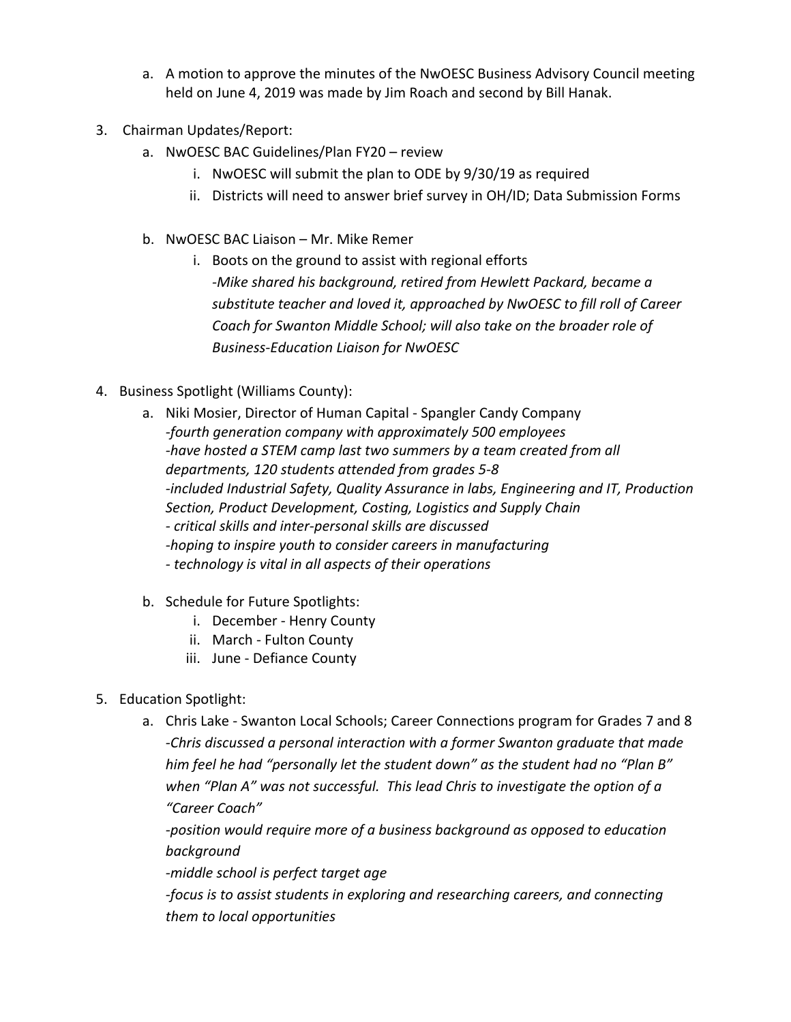- a. A motion to approve the minutes of the NwOESC Business Advisory Council meeting held on June 4, 2019 was made by Jim Roach and second by Bill Hanak.
- 3. Chairman Updates/Report:
	- a. NwOESC BAC Guidelines/Plan FY20 review
		- i. NwOESC will submit the plan to ODE by 9/30/19 as required
		- ii. Districts will need to answer brief survey in OH/ID; Data Submission Forms
	- b. NwOESC BAC Liaison Mr. Mike Remer
		- i. Boots on the ground to assist with regional efforts *‐Mike shared his background, retired from Hewlett Packard, became a substitute teacher and loved it, approached by NwOESC to fill roll of Career Coach for Swanton Middle School; will also take on the broader role of Business‐Education Liaison for NwOESC*
- 4. Business Spotlight (Williams County):
	- a. Niki Mosier, Director of Human Capital ‐ Spangler Candy Company *‐fourth generation company with approximately 500 employees ‐have hosted a STEM camp last two summers by a team created from all departments, 120 students attended from grades 5‐8 ‐included Industrial Safety, Quality Assurance in labs, Engineering and IT, Production Section, Product Development, Costing, Logistics and Supply Chain ‐ critical skills and inter‐personal skills are discussed ‐hoping to inspire youth to consider careers in manufacturing ‐ technology is vital in all aspects of their operations*
	- b. Schedule for Future Spotlights:
		- i. December ‐ Henry County
		- ii. March ‐ Fulton County
		- iii. June ‐ Defiance County
- 5. Education Spotlight:
	- a. Chris Lake ‐ Swanton Local Schools; Career Connections program for Grades 7 and 8 *‐Chris discussed a personal interaction with a former Swanton graduate that made him feel he had "personally let the student down" as the student had no "Plan B" when "Plan A" was not successful. This lead Chris to investigate the option of a "Career Coach"*

*‐position would require more of a business background as opposed to education background* 

*‐middle school is perfect target age* 

*‐focus is to assist students in exploring and researching careers, and connecting them to local opportunities*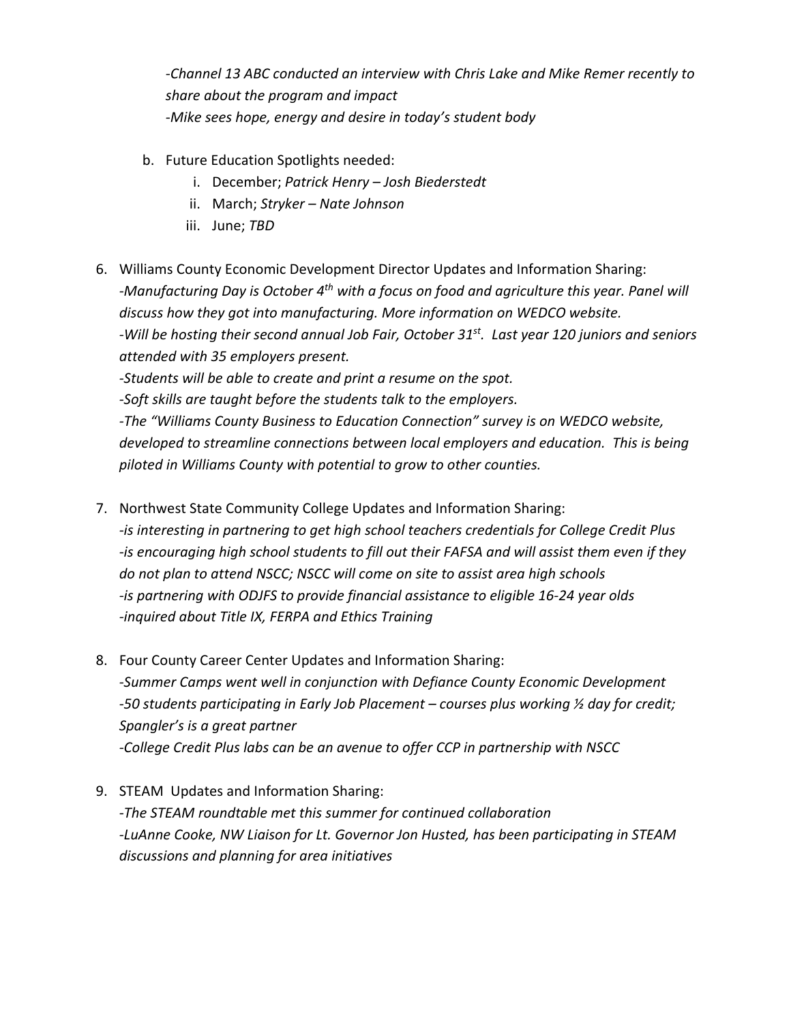*‐Channel 13 ABC conducted an interview with Chris Lake and Mike Remer recently to share about the program and impact ‐Mike sees hope, energy and desire in today's student body* 

- b. Future Education Spotlights needed:
	- i. December; *Patrick Henry Josh Biederstedt*
	- ii. March; *Stryker Nate Johnson*
	- iii. June; *TBD*
- 6. Williams County Economic Development Director Updates and Information Sharing: *‐Manufacturing Day is October 4th with a focus on food and agriculture this year. Panel will discuss how they got into manufacturing. More information on WEDCO website. ‐Will be hosting their second annual Job Fair, October 31st. Last year 120 juniors and seniors attended with 35 employers present. ‐Students will be able to create and print a resume on the spot. ‐Soft skills are taught before the students talk to the employers. ‐The "Williams County Business to Education Connection" survey is on WEDCO website, developed to streamline connections between local employers and education. This is being piloted in Williams County with potential to grow to other counties.*
- 7. Northwest State Community College Updates and Information Sharing: *‐is interesting in partnering to get high school teachers credentials for College Credit Plus ‐is encouraging high school students to fill out their FAFSA and will assist them even if they do not plan to attend NSCC; NSCC will come on site to assist area high schools ‐is partnering with ODJFS to provide financial assistance to eligible 16‐24 year olds ‐inquired about Title IX, FERPA and Ethics Training*
- 8. Four County Career Center Updates and Information Sharing: *‐Summer Camps went well in conjunction with Defiance County Economic Development ‐50 students participating in Early Job Placement – courses plus working ½ day for credit; Spangler's is a great partner ‐College Credit Plus labs can be an avenue to offer CCP in partnership with NSCC*
- 9. STEAM Updates and Information Sharing: *‐The STEAM roundtable met this summer for continued collaboration ‐LuAnne Cooke, NW Liaison for Lt. Governor Jon Husted, has been participating in STEAM discussions and planning for area initiatives*